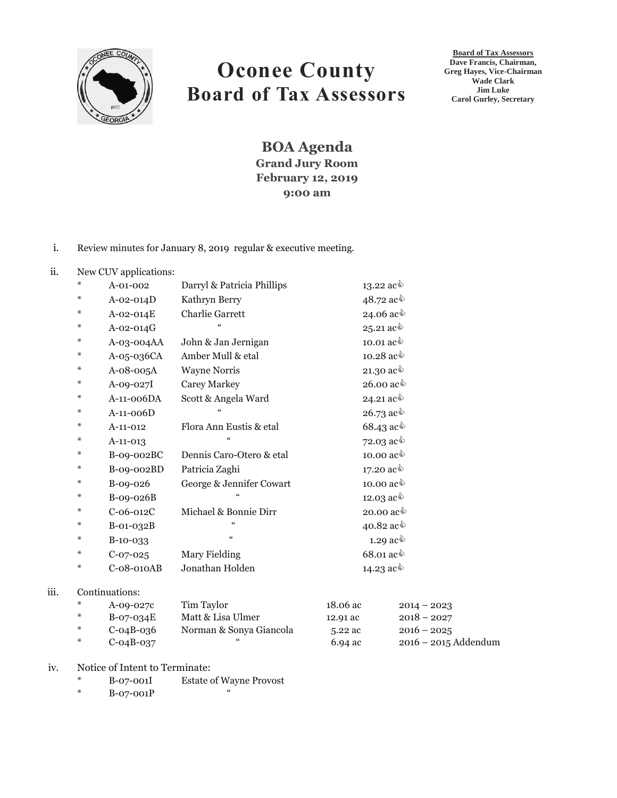

# **Oconee County Board of Tax Assessors**

**Board of Tax Assessors Dave Francis, Chairman, Greg Hayes, Vice-Chairman Wade Clark Jim Luke Carol Gurley, Secretary**

**BOA Agenda Grand Jury Room February 12, 2019 9:00 am**

## i. Review minutes for January 8, 2019 regular & executive meeting.

## ii. New CUV applications:

| ⋇ | A-01-002    | Darryl & Patricia Phillips | 13.22 $ac\hat{ }$                         |
|---|-------------|----------------------------|-------------------------------------------|
| ⋇ | $A-02-014D$ | Kathryn Berry              | 48.72 ac <sup><math>\Diamond</math></sup> |
| ⋇ | A-02-014E   | <b>Charlie Garrett</b>     | 24.06 ac <sup>√</sup>                     |
| ⋇ | $A-02-014G$ |                            | 25.21 ac $\text{\degree}$                 |
| ⋇ | A-03-004AA  | John & Jan Jernigan        | 10.01 $ac\hat{\mathbb{Q}}$                |
| ⋇ | A-05-036CA  | Amber Mull & etal          | 10.28 $ac\$                               |
| ⋇ | $A-08-005A$ | <b>Wayne Norris</b>        | 21.30 $ac\hat{\phi}$                      |
| ⋇ | A-09-027I   | <b>Carey Markey</b>        | 26.00 $ac\hat{\mathbb{Q}}$                |
| ⋇ | A-11-006DA  | Scott & Angela Ward        | 24.21 ac $\hat{\mathbb{Q}}$               |
| ⋇ | $A-11-006D$ | $\epsilon$                 | 26.73 ac $\text{\degree}$                 |
| ⋇ | $A-11-012$  | Flora Ann Eustis & etal    | 68.43 ac $\text{\textdegree}$             |
| ⋇ | $A-11-013$  | $\epsilon$                 | 72.03 $ac\hat{\phi}$                      |
| ⋇ | B-09-002BC  | Dennis Caro-Otero & etal   | 10.00 $ac\hat{\mathbb{Q}}$                |
| ⋇ | B-09-002BD  | Patricia Zaghi             | 17.20 $ac\hat{\phi}$                      |
| ⋇ | B-09-026    | George & Jennifer Cowart   | 10.00 $ac\hat{\mathbb{Q}}$                |
| ⋇ | $B-09-026B$ |                            | 12.03 $ac^{\&}$                           |
| ⋇ | $C-06-012C$ | Michael & Bonnie Dirr      | 20.00 $ac\hat{ }$                         |
| ⋇ | $B-01-032B$ |                            | 40.82 $ac\$                               |
| ⋇ | B-10-033    | $\zeta\zeta$               | 1.29 $ac\hat{\phi}$                       |
| ⋇ | $C-07-025$  | Mary Fielding              | 68.01 ac $\Diamond$                       |
| ⋇ | C-08-010AB  | Jonathan Holden            | 14.23 $ac\hat{ }$                         |
|   |             |                            |                                           |

## iii. Continuations:

| $\ast$ | A-09-027c   | Tim Taylor              | 18.06 ac | $2014 - 2023$          |
|--------|-------------|-------------------------|----------|------------------------|
| $\ast$ | B-07-034E   | Matt & Lisa Ulmer       | 12.91 ac | $2018 - 2027$          |
| $\ast$ | C-04B-036   | Norman & Sonya Giancola | 5.22 ac  | $2016 - 2025$          |
| $*$    | $C-04B-037$ | "                       | 6.94 ac  | $2016 - 2015$ Addendum |

#### iv. Notice of Intent to Terminate:

- \* B-07-001I Estate of Wayne Provost
- $*$  B-07-001P  $*$